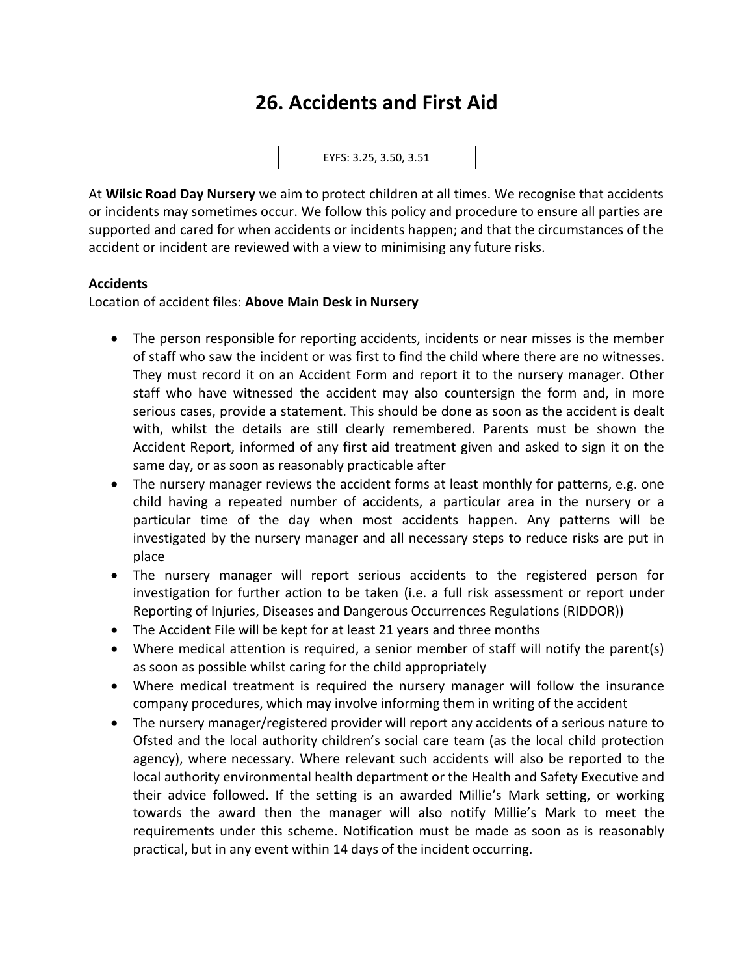# **26. Accidents and First Aid**

EYFS: 3.25, 3.50, 3.51

At **Wilsic Road Day Nursery** we aim to protect children at all times. We recognise that accidents or incidents may sometimes occur. We follow this policy and procedure to ensure all parties are supported and cared for when accidents or incidents happen; and that the circumstances of the accident or incident are reviewed with a view to minimising any future risks.

#### **Accidents**

Location of accident files: **Above Main Desk in Nursery**

- The person responsible for reporting accidents, incidents or near misses is the member of staff who saw the incident or was first to find the child where there are no witnesses. They must record it on an Accident Form and report it to the nursery manager. Other staff who have witnessed the accident may also countersign the form and, in more serious cases, provide a statement. This should be done as soon as the accident is dealt with, whilst the details are still clearly remembered. Parents must be shown the Accident Report, informed of any first aid treatment given and asked to sign it on the same day, or as soon as reasonably practicable after
- The nursery manager reviews the accident forms at least monthly for patterns, e.g. one child having a repeated number of accidents, a particular area in the nursery or a particular time of the day when most accidents happen. Any patterns will be investigated by the nursery manager and all necessary steps to reduce risks are put in place
- The nursery manager will report serious accidents to the registered person for investigation for further action to be taken (i.e. a full risk assessment or report under Reporting of Injuries, Diseases and Dangerous Occurrences Regulations (RIDDOR))
- The Accident File will be kept for at least 21 years and three months
- Where medical attention is required, a senior member of staff will notify the parent(s) as soon as possible whilst caring for the child appropriately
- Where medical treatment is required the nursery manager will follow the insurance company procedures, which may involve informing them in writing of the accident
- The nursery manager/registered provider will report any accidents of a serious nature to Ofsted and the local authority children's social care team (as the local child protection agency), where necessary. Where relevant such accidents will also be reported to the local authority environmental health department or the Health and Safety Executive and their advice followed. If the setting is an awarded Millie's Mark setting, or working towards the award then the manager will also notify Millie's Mark to meet the requirements under this scheme. Notification must be made as soon as is reasonably practical, but in any event within 14 days of the incident occurring.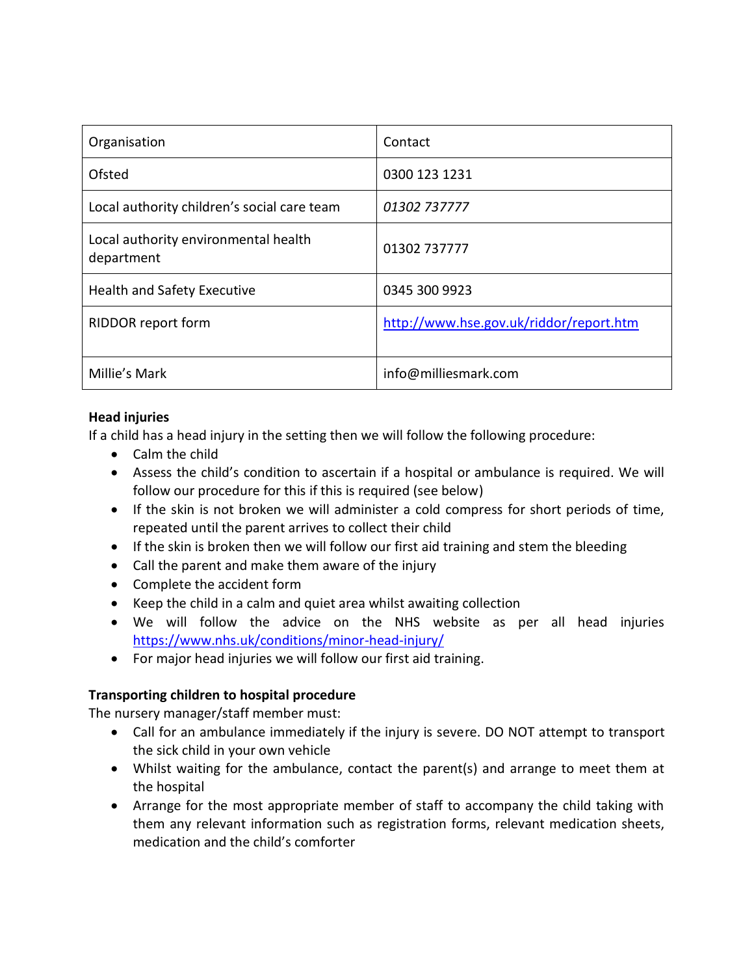| Organisation                                       | Contact                                 |
|----------------------------------------------------|-----------------------------------------|
| Ofsted                                             | 0300 123 1231                           |
| Local authority children's social care team        | 01302 737777                            |
| Local authority environmental health<br>department | 01302 737777                            |
| Health and Safety Executive                        | 0345 300 9923                           |
| RIDDOR report form                                 | http://www.hse.gov.uk/riddor/report.htm |
| Millie's Mark                                      | info@milliesmark.com                    |

#### **Head injuries**

If a child has a head injury in the setting then we will follow the following procedure:

- Calm the child
- Assess the child's condition to ascertain if a hospital or ambulance is required. We will follow our procedure for this if this is required (see below)
- If the skin is not broken we will administer a cold compress for short periods of time, repeated until the parent arrives to collect their child
- If the skin is broken then we will follow our first aid training and stem the bleeding
- Call the parent and make them aware of the injury
- Complete the accident form
- Keep the child in a calm and quiet area whilst awaiting collection
- We will follow the advice on the NHS website as per all head injuries <https://www.nhs.uk/conditions/minor-head-injury/>
- For major head injuries we will follow our first aid training.

#### **Transporting children to hospital procedure**

The nursery manager/staff member must:

- Call for an ambulance immediately if the injury is severe. DO NOT attempt to transport the sick child in your own vehicle
- Whilst waiting for the ambulance, contact the parent(s) and arrange to meet them at the hospital
- Arrange for the most appropriate member of staff to accompany the child taking with them any relevant information such as registration forms, relevant medication sheets, medication and the child's comforter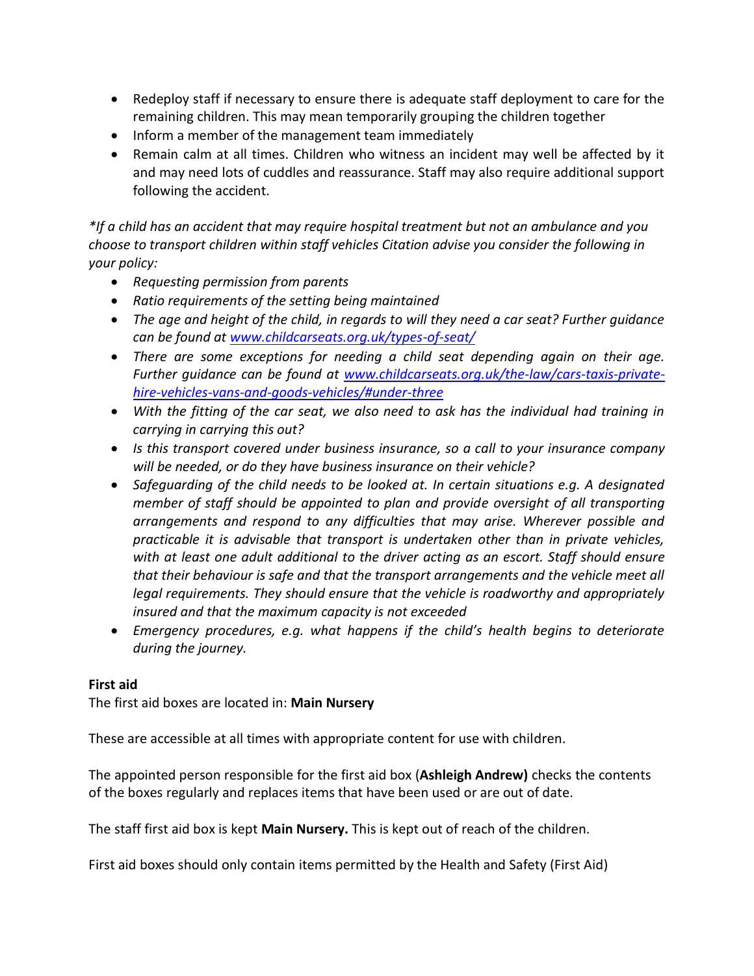- Redeploy staff if necessary to ensure there is adequate staff deployment to care for the remaining children. This may mean temporarily grouping the children together
- Inform a member of the management team immediately
- Remain calm at all times. Children who witness an incident may well be affected by it and may need lots of cuddles and reassurance. Staff may also require additional support following the accident.

*\*If a child has an accident that may require hospital treatment but not an ambulance and you choose to transport children within staff vehicles Citation advise you consider the following in your policy:*

- *Requesting permission from parents*
- *Ratio requirements of the setting being maintained*
- *The age and height of the child, in regards to will they need a car seat? Further guidance can be found at [www.childcarseats.org.uk/types-of-seat/](http://www.childcarseats.org.uk/types-of-seat/)*
- *There are some exceptions for needing a child seat depending again on their age. Further guidance can be found at [www.childcarseats.org.uk/the-law/cars-taxis-private](http://www.childcarseats.org.uk/the-law/cars-taxis-private-hire-vehicles-vans-and-goods-vehicles/#under-three)[hire-vehicles-vans-and-goods-vehicles/#under-three](http://www.childcarseats.org.uk/the-law/cars-taxis-private-hire-vehicles-vans-and-goods-vehicles/#under-three)*
- *With the fitting of the car seat, we also need to ask has the individual had training in carrying in carrying this out?*
- *Is this transport covered under business insurance, so a call to your insurance company will be needed, or do they have business insurance on their vehicle?*
- *Safeguarding of the child needs to be looked at. In certain situations e.g. A designated member of staff should be appointed to plan and provide oversight of all transporting arrangements and respond to any difficulties that may arise. Wherever possible and practicable it is advisable that transport is undertaken other than in private vehicles, with at least one adult additional to the driver acting as an escort. Staff should ensure that their behaviour is safe and that the transport arrangements and the vehicle meet all legal requirements. They should ensure that the vehicle is roadworthy and appropriately insured and that the maximum capacity is not exceeded*
- *Emergency procedures, e.g. what happens if the child's health begins to deteriorate during the journey.*

#### **First aid**

The first aid boxes are located in: **Main Nursery**

These are accessible at all times with appropriate content for use with children.

The appointed person responsible for the first aid box (**Ashleigh Andrew)** checks the contents of the boxes regularly and replaces items that have been used or are out of date.

The staff first aid box is kept **Main Nursery.** This is kept out of reach of the children.

First aid boxes should only contain items permitted by the Health and Safety (First Aid)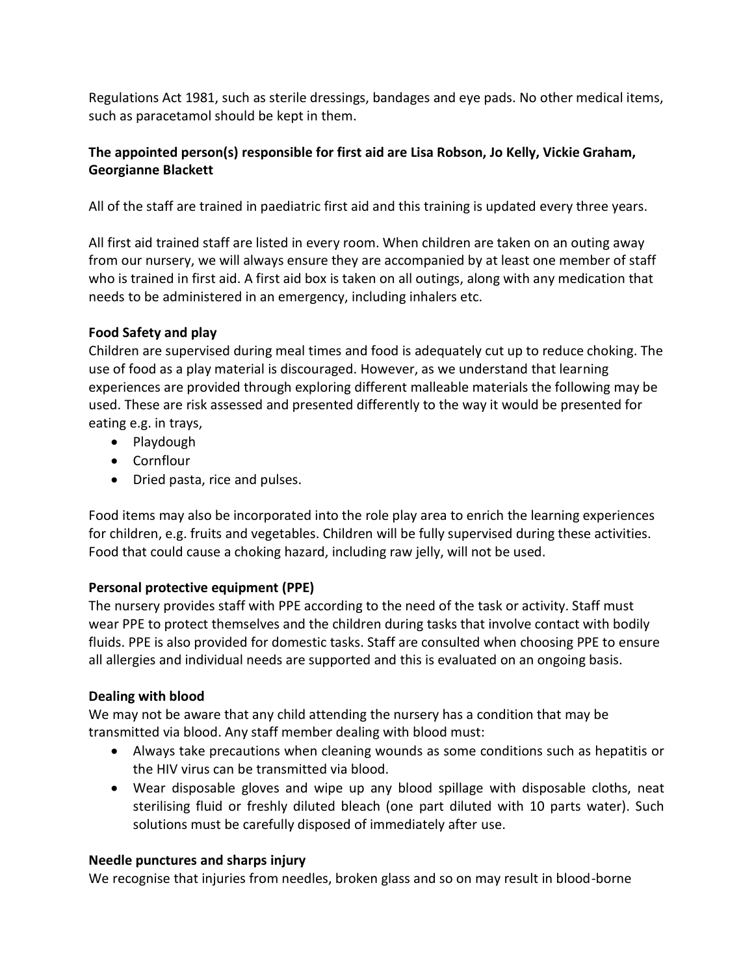Regulations Act 1981, such as sterile dressings, bandages and eye pads. No other medical items, such as paracetamol should be kept in them.

## **The appointed person(s) responsible for first aid are Lisa Robson, Jo Kelly, Vickie Graham, Georgianne Blackett**

All of the staff are trained in paediatric first aid and this training is updated every three years.

All first aid trained staff are listed in every room. When children are taken on an outing away from our nursery, we will always ensure they are accompanied by at least one member of staff who is trained in first aid. A first aid box is taken on all outings, along with any medication that needs to be administered in an emergency, including inhalers etc.

## **Food Safety and play**

Children are supervised during meal times and food is adequately cut up to reduce choking. The use of food as a play material is discouraged. However, as we understand that learning experiences are provided through exploring different malleable materials the following may be used. These are risk assessed and presented differently to the way it would be presented for eating e.g. in trays,

- Playdough
- Cornflour
- Dried pasta, rice and pulses.

Food items may also be incorporated into the role play area to enrich the learning experiences for children, e.g. fruits and vegetables. Children will be fully supervised during these activities. Food that could cause a choking hazard, including raw jelly, will not be used.

# **Personal protective equipment (PPE)**

The nursery provides staff with PPE according to the need of the task or activity. Staff must wear PPE to protect themselves and the children during tasks that involve contact with bodily fluids. PPE is also provided for domestic tasks. Staff are consulted when choosing PPE to ensure all allergies and individual needs are supported and this is evaluated on an ongoing basis.

# **Dealing with blood**

We may not be aware that any child attending the nursery has a condition that may be transmitted via blood. Any staff member dealing with blood must:

- Always take precautions when cleaning wounds as some conditions such as hepatitis or the HIV virus can be transmitted via blood.
- Wear disposable gloves and wipe up any blood spillage with disposable cloths, neat sterilising fluid or freshly diluted bleach (one part diluted with 10 parts water). Such solutions must be carefully disposed of immediately after use.

#### **Needle punctures and sharps injury**

We recognise that injuries from needles, broken glass and so on may result in blood-borne